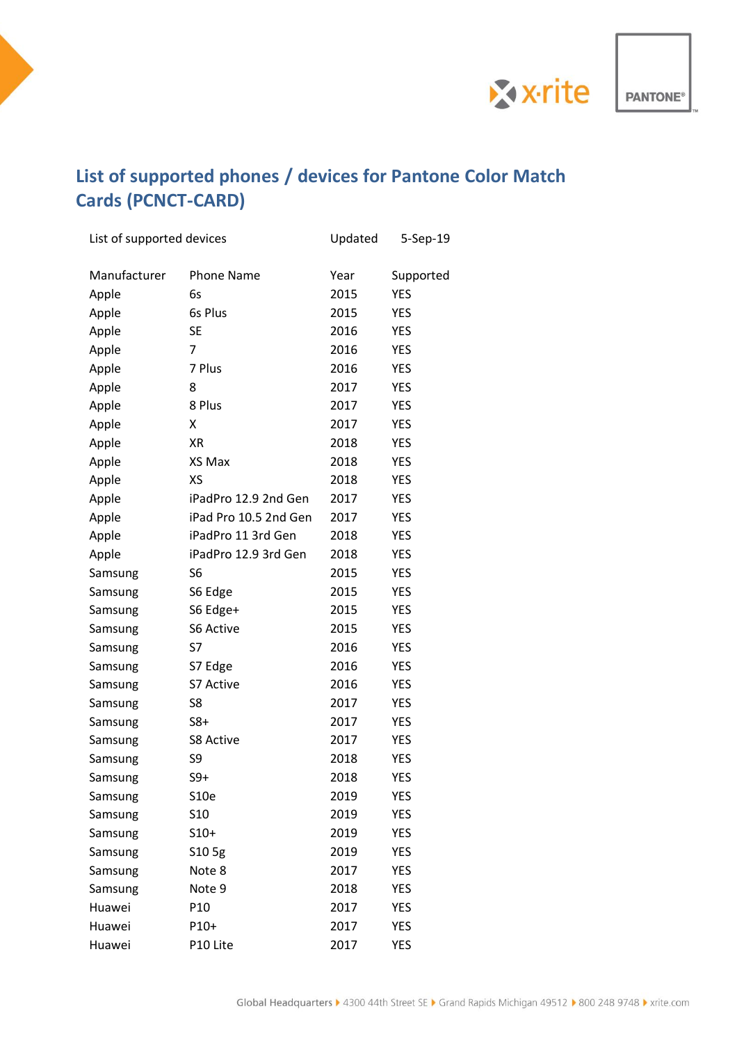

**PANTONE®** 

## **List of supported phones / devices for Pantone Color Match Cards (PCNCT-CARD)**

| List of supported devices |                       | Updated | 5-Sep-19   |
|---------------------------|-----------------------|---------|------------|
| Manufacturer              | <b>Phone Name</b>     | Year    | Supported  |
| Apple                     | 6s                    | 2015    | <b>YES</b> |
| Apple                     | 6s Plus               | 2015    | <b>YES</b> |
| Apple                     | <b>SE</b>             | 2016    | <b>YES</b> |
| Apple                     | 7                     | 2016    | <b>YES</b> |
| Apple                     | 7 Plus                | 2016    | <b>YES</b> |
| Apple                     | 8                     | 2017    | <b>YES</b> |
| Apple                     | 8 Plus                | 2017    | <b>YES</b> |
| Apple                     | x                     | 2017    | <b>YES</b> |
| Apple                     | <b>XR</b>             | 2018    | <b>YES</b> |
| Apple                     | XS Max                | 2018    | <b>YES</b> |
| Apple                     | XS                    | 2018    | <b>YES</b> |
| Apple                     | iPadPro 12.9 2nd Gen  | 2017    | <b>YES</b> |
| Apple                     | iPad Pro 10.5 2nd Gen | 2017    | <b>YES</b> |
| Apple                     | iPadPro 11 3rd Gen    | 2018    | <b>YES</b> |
| Apple                     | iPadPro 12.9 3rd Gen  | 2018    | <b>YES</b> |
| Samsung                   | S6                    | 2015    | <b>YES</b> |
| Samsung                   | S6 Edge               | 2015    | <b>YES</b> |
| Samsung                   | S6 Edge+              | 2015    | <b>YES</b> |
| Samsung                   | S6 Active             | 2015    | <b>YES</b> |
| Samsung                   | S7                    | 2016    | <b>YES</b> |
| Samsung                   | S7 Edge               | 2016    | <b>YES</b> |
| Samsung                   | S7 Active             | 2016    | <b>YES</b> |
| Samsung                   | S8                    | 2017    | <b>YES</b> |
| Samsung                   | $S8+$                 | 2017    | YES        |
| Samsung                   | <b>S8 Active</b>      | 2017    | YES        |
| Samsung                   | S9                    | 2018    | <b>YES</b> |
| Samsung                   | $S9+$                 | 2018    | <b>YES</b> |
| Samsung                   | S10e                  | 2019    | YES        |
| Samsung                   | S <sub>10</sub>       | 2019    | YES        |
| Samsung                   | $S10+$                | 2019    | YES        |
| Samsung                   | S10 5g                | 2019    | YES        |
| Samsung                   | Note 8                | 2017    | YES        |
| Samsung                   | Note 9                | 2018    | YES        |
| Huawei                    | P <sub>10</sub>       | 2017    | YES        |
| Huawei                    | P10+                  | 2017    | YES        |
| Huawei                    | P10 Lite              | 2017    | YES        |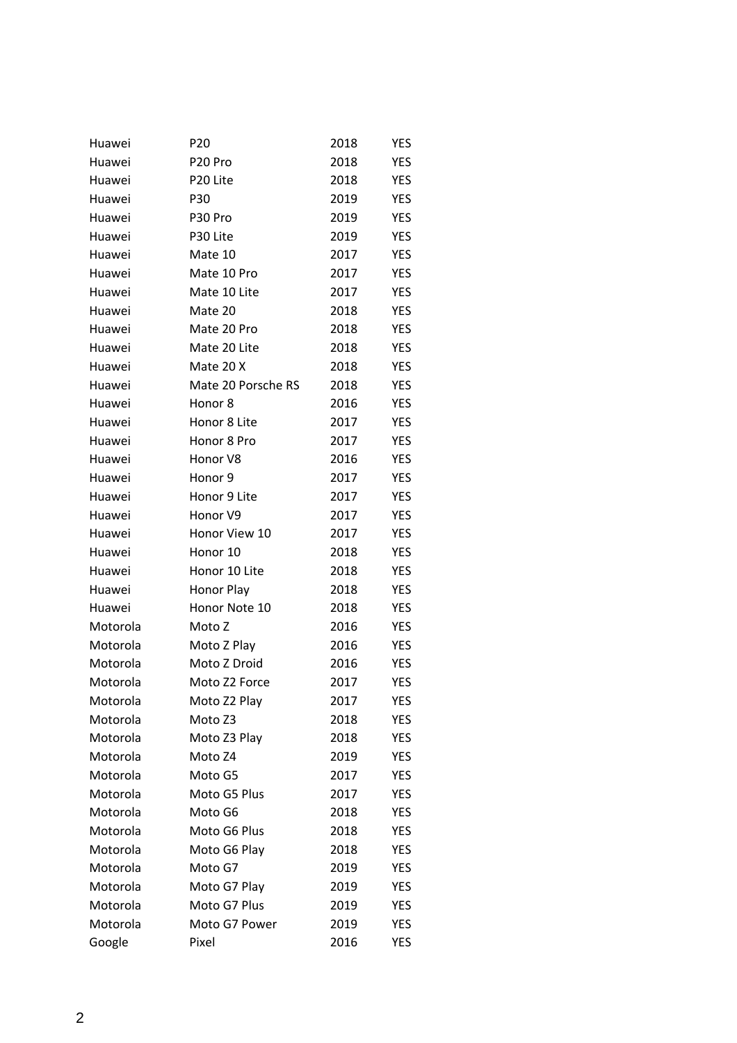| Huawei   | P <sub>20</sub>    | 2018 | <b>YES</b> |
|----------|--------------------|------|------------|
| Huawei   | P20 Pro            | 2018 | <b>YES</b> |
| Huawei   | P20 Lite           | 2018 | YES        |
| Huawei   | P30                | 2019 | <b>YES</b> |
| Huawei   | P30 Pro            | 2019 | <b>YES</b> |
| Huawei   | P30 Lite           | 2019 | <b>YES</b> |
| Huawei   | Mate 10            | 2017 | <b>YES</b> |
| Huawei   | Mate 10 Pro        | 2017 | <b>YES</b> |
| Huawei   | Mate 10 Lite       | 2017 | <b>YES</b> |
| Huawei   | Mate 20            | 2018 | <b>YES</b> |
| Huawei   | Mate 20 Pro        | 2018 | <b>YES</b> |
| Huawei   | Mate 20 Lite       | 2018 | YES        |
| Huawei   | Mate 20 X          | 2018 | <b>YES</b> |
| Huawei   | Mate 20 Porsche RS | 2018 | <b>YES</b> |
| Huawei   | Honor 8            | 2016 | <b>YES</b> |
| Huawei   | Honor 8 Lite       | 2017 | YES        |
| Huawei   | Honor 8 Pro        | 2017 | <b>YES</b> |
| Huawei   | Honor V8           | 2016 | YES        |
| Huawei   | Honor <sub>9</sub> | 2017 | <b>YES</b> |
| Huawei   | Honor 9 Lite       | 2017 | YES        |
| Huawei   | Honor V9           | 2017 | YES        |
| Huawei   | Honor View 10      | 2017 | YES        |
| Huawei   | Honor 10           | 2018 | YES        |
| Huawei   | Honor 10 Lite      | 2018 | YES        |
| Huawei   | Honor Play         | 2018 | YES        |
| Huawei   | Honor Note 10      | 2018 | YES        |
| Motorola | Moto Z             | 2016 | YES        |
| Motorola | Moto Z Play        | 2016 | YES        |
| Motorola | Moto Z Droid       | 2016 | YES        |
| Motorola | Moto Z2 Force      | 2017 | <b>YES</b> |
| Motorola | Moto Z2 Play       | 2017 | <b>YES</b> |
| Motorola | Moto Z3            | 2018 | <b>YES</b> |
| Motorola | Moto Z3 Play       | 2018 | <b>YES</b> |
| Motorola | Moto Z4            | 2019 | <b>YES</b> |
| Motorola | Moto G5            | 2017 | YES        |
| Motorola | Moto G5 Plus       | 2017 | YES        |
| Motorola | Moto G6            | 2018 | <b>YES</b> |
| Motorola | Moto G6 Plus       | 2018 | <b>YES</b> |
| Motorola | Moto G6 Play       | 2018 | YES        |
| Motorola | Moto G7            | 2019 | YES        |
| Motorola | Moto G7 Play       | 2019 | YES        |
| Motorola | Moto G7 Plus       | 2019 | YES        |
| Motorola | Moto G7 Power      | 2019 | YES        |
| Google   | Pixel              | 2016 | YES        |